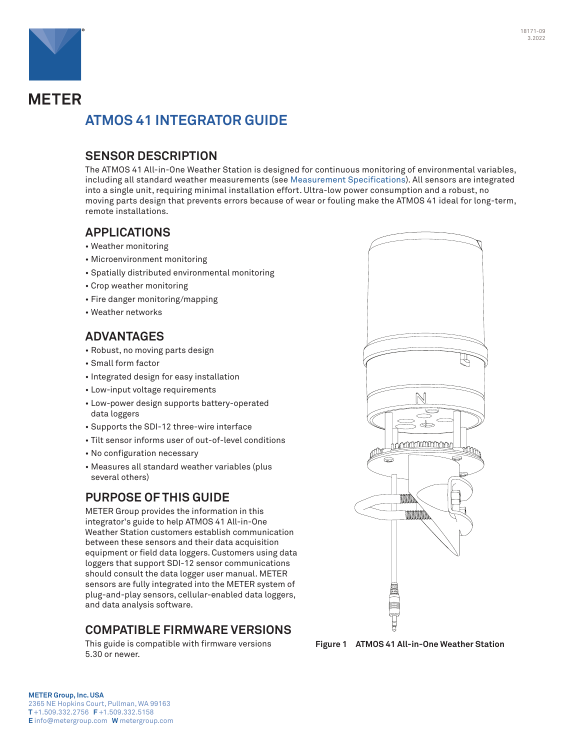



# **METER ATMOS 41 INTEGRATOR GUIDE**

## **SENSOR DESCRIPTION**

The ATMOS 41 All-in-One Weather Station is designed for continuous monitoring of environmental variables, including all standard weather measurements (see [Measurement Specifications](#page-1-0)). All sensors are integrated into a single unit, requiring minimal installation effort. Ultra-low power consumption and a robust, no moving parts design that prevents errors because of wear or fouling make the ATMOS 41 ideal for long-term, remote installations.

## **APPLICATIONS**

- Weather monitoring
- Microenvironment monitoring
- Spatially distributed environmental monitoring
- Crop weather monitoring
- Fire danger monitoring/mapping
- Weather networks

## **ADVANTAGES**

- Robust, no moving parts design
- Small form factor
- Integrated design for easy installation
- Low-input voltage requirements
- Low-power design supports battery-operated data loggers
- Supports the SDI-12 three-wire interface
- Tilt sensor informs user of out-of-level conditions
- No configuration necessary
- Measures all standard weather variables (plus several others)

## **PURPOSE OF THIS GUIDE**

METER Group provides the information in this integrator's guide to help ATMOS 41 All-in-One Weather Station customers establish communication between these sensors and their data acquisition equipment or field data loggers. Customers using data loggers that support SDI-12 sensor communications should consult the data logger user manual. METER sensors are fully integrated into the METER system of plug-and-play sensors, cellular-enabled data loggers, and data analysis software.

## **COMPATIBLE FIRMWARE VERSIONS**

This guide is compatible with firmware versions 5.30 or newer.



**Figure 1 ATMOS 41 All-in-One Weather Station**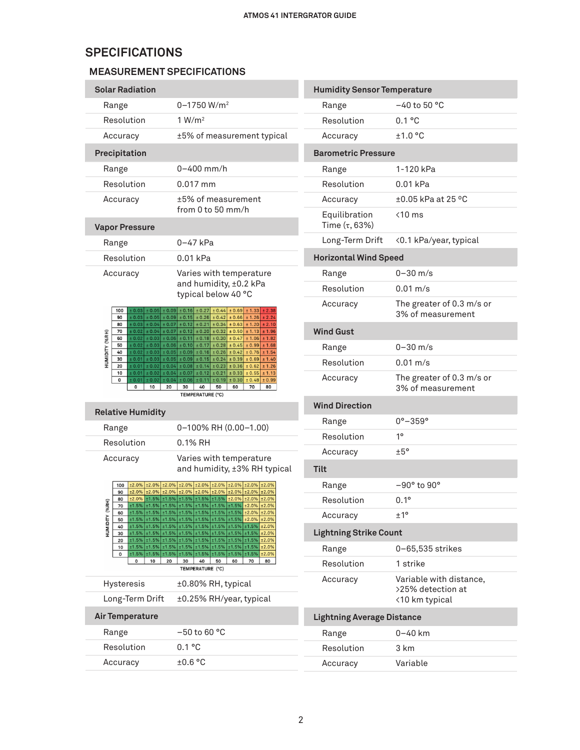## **SPECIFICATIONS**

## <span id="page-1-0"></span>**MEASUREMENT SPECIFICATIONS**

| <b>Solar Radiation</b>                                                                                                                                                                                                                                                                     |                                                                                                                                                                                                                                                                                                                                                                                                                                                                                                                                                                                                                                                                                                                                                                                                                                                                                                                                   |
|--------------------------------------------------------------------------------------------------------------------------------------------------------------------------------------------------------------------------------------------------------------------------------------------|-----------------------------------------------------------------------------------------------------------------------------------------------------------------------------------------------------------------------------------------------------------------------------------------------------------------------------------------------------------------------------------------------------------------------------------------------------------------------------------------------------------------------------------------------------------------------------------------------------------------------------------------------------------------------------------------------------------------------------------------------------------------------------------------------------------------------------------------------------------------------------------------------------------------------------------|
| Range                                                                                                                                                                                                                                                                                      | $0 - 1750 W/m2$                                                                                                                                                                                                                                                                                                                                                                                                                                                                                                                                                                                                                                                                                                                                                                                                                                                                                                                   |
| Resolution                                                                                                                                                                                                                                                                                 | 1 W/m <sup>2</sup>                                                                                                                                                                                                                                                                                                                                                                                                                                                                                                                                                                                                                                                                                                                                                                                                                                                                                                                |
| Accuracy                                                                                                                                                                                                                                                                                   | ±5% of measurement typical                                                                                                                                                                                                                                                                                                                                                                                                                                                                                                                                                                                                                                                                                                                                                                                                                                                                                                        |
| Precipitation                                                                                                                                                                                                                                                                              |                                                                                                                                                                                                                                                                                                                                                                                                                                                                                                                                                                                                                                                                                                                                                                                                                                                                                                                                   |
| Range                                                                                                                                                                                                                                                                                      | $0 - 400$ mm/h                                                                                                                                                                                                                                                                                                                                                                                                                                                                                                                                                                                                                                                                                                                                                                                                                                                                                                                    |
| Resolution                                                                                                                                                                                                                                                                                 | $0.017$ mm                                                                                                                                                                                                                                                                                                                                                                                                                                                                                                                                                                                                                                                                                                                                                                                                                                                                                                                        |
| Accuracy                                                                                                                                                                                                                                                                                   | ±5% of measurement<br>from $0$ to $50$ mm/h                                                                                                                                                                                                                                                                                                                                                                                                                                                                                                                                                                                                                                                                                                                                                                                                                                                                                       |
| <b>Vapor Pressure</b>                                                                                                                                                                                                                                                                      |                                                                                                                                                                                                                                                                                                                                                                                                                                                                                                                                                                                                                                                                                                                                                                                                                                                                                                                                   |
| Range                                                                                                                                                                                                                                                                                      | 0-47 kPa                                                                                                                                                                                                                                                                                                                                                                                                                                                                                                                                                                                                                                                                                                                                                                                                                                                                                                                          |
| Resolution                                                                                                                                                                                                                                                                                 | $0.01$ kPa                                                                                                                                                                                                                                                                                                                                                                                                                                                                                                                                                                                                                                                                                                                                                                                                                                                                                                                        |
| Accuracy                                                                                                                                                                                                                                                                                   | Varies with temperature<br>and humidity, ±0.2 kPa<br>typical below 40 °C                                                                                                                                                                                                                                                                                                                                                                                                                                                                                                                                                                                                                                                                                                                                                                                                                                                          |
| 100<br>90<br>80<br>70<br>HUMIDITY (%RH)<br>60<br>50<br>40<br>30<br>20                                                                                                                                                                                                                      | $\pm$ 0.03 $\pm$ 0.05 $\pm$ 0.09 $\pm$ 0.16 $\pm$ 0.27 $\pm$ 0.44 $\pm$ 0.69 $\pm$ 1.33<br>± 2.38<br>$\pm 0.03 \pm 0.05 \pm 0.09 \pm 0.15 \pm 0.26 \pm 0.42 \pm 0.66 \pm 1.26 \pm 2.24$<br>$\pm$ 0.03 $\pm$ 0.04 $\pm$ 0.07 $\pm$ 0.12 $\pm$ 0.21 $\pm$ 0.34 $\pm$ 0.63 $\pm$ 1.20 $\pm$ 2.10<br>$\pm$ 0.02 $\pm$ 0.04 $\pm$ 0.07 $\pm$ 0.12 $\pm$ 0.20 $\pm$ 0.32 $\pm$ 0.50 $\pm$ 1.13 $\pm$ 1.96<br>$\pm$ 0.02 $\pm$ 0.03 $\pm$ 0.06 $\pm$ 0.11 $\pm$ 0.18 $\pm$ 0.30 $\pm$ 0.47 $\pm$ 1.06 $\pm$ 1.82<br>$\pm 0.02$ $\pm 0.03$ $\pm 0.06$ $\pm 0.10$ $\pm 0.17$ $\pm 0.28$ $\pm 0.45$ $\pm 0.99$ $\pm 1.68$<br>$\pm$ 0.02 $\pm$ 0.03 $\pm$ 0.05 $\pm$ 0.09 $\pm$ 0.16 $\pm$ 0.26 $\pm$ 0.42 $\pm$ 0.76 $\pm$ 1.54<br>$\pm$ 0.01 $\pm$ 0.03 $\pm$ 0.05 $\pm$ 0.09 $\pm$ 0.15 $\pm$ 0.24 $\pm$ 0.39 $\pm$ 0.69 $\pm$ 1.40<br>$\pm$ 0.01 $\pm$ 0.02 $\pm$ 0.04 $\pm$ 0.08 $\pm$ 0.14 $\pm$ 0.23 $\pm$ 0.36 $\pm$ 0.62 $\pm$ 1.26 |
| $\pm 0.01 \pm 0.02$<br>10<br>± 0.01<br>$\pm$ 0.02<br>$\pm$ 0.04<br>0<br>10<br>20<br>0                                                                                                                                                                                                      | $\pm 0.04 \pm 0.07 \pm 0.12 \pm 0.21$<br>$\pm 0.33 \pm 0.55$<br>± 1.13<br>± 0.06 ± 0.11 <br>± 0.19<br>$\pm 0.30 \pm 0.48$<br>± 0.99<br>60<br>70<br>80<br>30<br>40<br>50<br>TEMPERATURE (°C)                                                                                                                                                                                                                                                                                                                                                                                                                                                                                                                                                                                                                                                                                                                                       |
| <b>Relative Humidity</b>                                                                                                                                                                                                                                                                   |                                                                                                                                                                                                                                                                                                                                                                                                                                                                                                                                                                                                                                                                                                                                                                                                                                                                                                                                   |
| Range                                                                                                                                                                                                                                                                                      | 0-100% RH (0.00-1.00)                                                                                                                                                                                                                                                                                                                                                                                                                                                                                                                                                                                                                                                                                                                                                                                                                                                                                                             |
| Resolution                                                                                                                                                                                                                                                                                 | $0.1\%$ RH                                                                                                                                                                                                                                                                                                                                                                                                                                                                                                                                                                                                                                                                                                                                                                                                                                                                                                                        |
| Accuracy                                                                                                                                                                                                                                                                                   | Varies with temperature<br>and humidity, ±3% RH typical                                                                                                                                                                                                                                                                                                                                                                                                                                                                                                                                                                                                                                                                                                                                                                                                                                                                           |
| 100<br>90<br>80<br>돑<br>70<br>HUMIDITY (%<br>±1.5%<br>±1.5% ±1.5%<br>60<br>$±1.5\%$ $±1.5\%$<br>±1.5%<br>50<br>40<br>±1.5% ±1.5%<br>±1.5%<br>$±1.5\%$ $±1.5\%$<br>±1.5%<br>30<br>±1.5%<br>20<br>±1.5% ±1.5%<br>±1.5% ±1.5%<br>±1.5%<br>10<br>±1.5%<br>±1.5%<br>±1.5%<br>0<br>10<br>20<br>0 | ±2.0% ±2.0% ±2.0% ±2.0% ±2.0% ±2.0% ±2.0% ±2.0% ±2.0% ±2.0%<br>±2.0% ±2.0% ±2.0% ±2.0% ±2.0% ±2.0% ±2.0% ±2.0% ±2.0% ±2.0%<br>$\pm 2.0\%$ $\pm 1.5\%$ $\pm 1.5\%$ $\pm 1.5\%$ $\pm 1.5\%$ $\pm 1.5\%$ $\pm 2.0\%$ $\pm 2.0\%$ $\pm 2.0\%$<br>$\pm 1.5\%$ $\pm 1.5\%$ $\pm 1.5\%$ $\pm 1.5\%$ $\pm 1.5\%$ $\pm 1.5\%$ $\pm 1.5\%$ $\pm 2.0\%$ $\pm 2.0\%$<br>±1.5%<br>±1.5%<br>±1.5%<br>±1.5%<br>±2.0%<br>±2.0%<br>±1.5%<br>±1.5%<br>±1.5%<br>±1.5%<br>±2.0%<br>±2.0%<br>±1.5%<br>±1.5%<br>±1.5%<br>±1.5%<br>±1.5%<br>±2.0%<br>±1.5%<br>±1.5%<br>±1.5%<br>±1.5%<br>±1.5%<br>±2.0%<br>±1.5%<br>±1.5%<br>±1.5%<br>±1.5%<br>±1.5%<br>±2.0%<br>±1.5%<br>±1.5%<br>±1.5%<br>±1.5%<br>±1.5%<br>±2.0%<br>±1.5%<br>±1.5%<br>±1.5%<br>±1.5%<br>±1.5%<br>±2.0%<br>40<br>50<br>60<br>70<br>80<br>30<br>TEMPERATURE (°C)                                                                                                                        |
| Hysteresis                                                                                                                                                                                                                                                                                 | ±0.80% RH, typical                                                                                                                                                                                                                                                                                                                                                                                                                                                                                                                                                                                                                                                                                                                                                                                                                                                                                                                |
| Long-Term Drift                                                                                                                                                                                                                                                                            | ±0.25% RH/year, typical                                                                                                                                                                                                                                                                                                                                                                                                                                                                                                                                                                                                                                                                                                                                                                                                                                                                                                           |
| <b>Air Temperature</b>                                                                                                                                                                                                                                                                     |                                                                                                                                                                                                                                                                                                                                                                                                                                                                                                                                                                                                                                                                                                                                                                                                                                                                                                                                   |
| Range                                                                                                                                                                                                                                                                                      | $-50$ to 60 °C                                                                                                                                                                                                                                                                                                                                                                                                                                                                                                                                                                                                                                                                                                                                                                                                                                                                                                                    |
| Resolution                                                                                                                                                                                                                                                                                 | 0.1 °C                                                                                                                                                                                                                                                                                                                                                                                                                                                                                                                                                                                                                                                                                                                                                                                                                                                                                                                            |

| <b>Humidity Sensor Temperature</b>  |                                                                |  |
|-------------------------------------|----------------------------------------------------------------|--|
| Range                               | $-40$ to 50 °C                                                 |  |
| Resolution                          | 0.1 °C                                                         |  |
| Accuracy                            | ±1.0 °C                                                        |  |
| <b>Barometric Pressure</b>          |                                                                |  |
| Range                               | 1-120 kPa                                                      |  |
| Resolution                          | $0.01$ kPa                                                     |  |
| Accuracy                            | ±0.05 kPa at 25 °C                                             |  |
| Equilibration<br>Time $(\tau, 63%)$ | $<$ 10 $ms$                                                    |  |
| Long-Term Drift                     | <0.1 kPa/year, typical                                         |  |
| <b>Horizontal Wind Speed</b>        |                                                                |  |
| Range                               | 0-30 m/s                                                       |  |
| Resolution                          | $0.01 \text{ m/s}$                                             |  |
| Accuracy                            | The greater of 0.3 m/s or<br>3% of measurement                 |  |
| <b>Wind Gust</b>                    |                                                                |  |
| Range                               | $0 - 30$ m/s                                                   |  |
| Resolution                          | $0.01 \text{ m/s}$                                             |  |
| Accuracy                            | The greater of 0.3 m/s or<br>3% of measurement                 |  |
| <b>Wind Direction</b>               |                                                                |  |
| Range                               | $0^{\circ} - 359^{\circ}$                                      |  |
| Resolution                          | $1^{\circ}$                                                    |  |
| Accuracy                            | ±5°                                                            |  |
| Tilt                                |                                                                |  |
| Range                               | $-90^\circ$ to $90^\circ$                                      |  |
| Resolution                          | $0.1^{\circ}$                                                  |  |
| Accuracy                            | $+1^{\circ}$                                                   |  |
| <b>Lightning Strike Count</b>       |                                                                |  |
| Range                               | 0-65,535 strikes                                               |  |
| Resolution                          | 1 strike                                                       |  |
| Accuracy                            | Variable with distance,<br>>25% detection at<br><10 km typical |  |
| <b>Lightning Average Distance</b>   |                                                                |  |
| Range                               | 0–40 km                                                        |  |
| Resolution                          | 3 km                                                           |  |
| Accuracy                            | Variable                                                       |  |
|                                     |                                                                |  |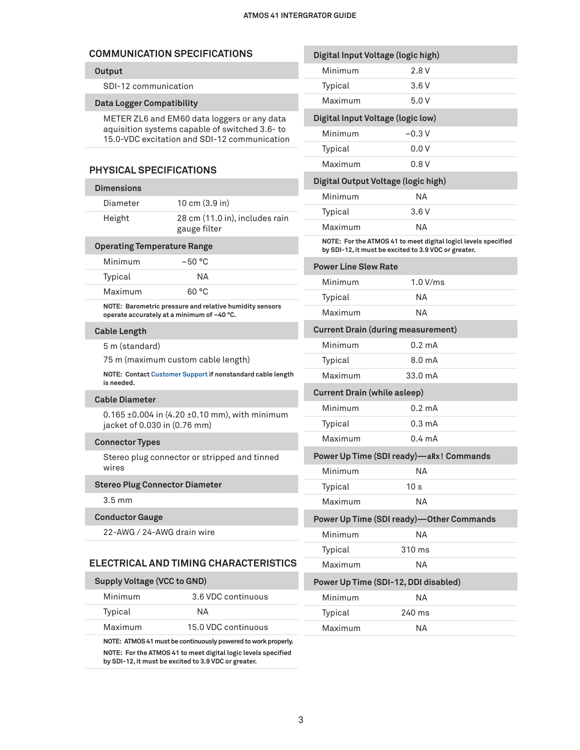## **COMMUNICATION SPECIFICATIONS**

### **Output**

SDI-12 communication

#### **Data Logger Compatibility**

METER ZL6 and EM60 data loggers or any data aquisition systems capable of switched 3.6- to 15.0-VDC excitation and SDI-12 communication

#### **PHYSICAL SPECIFICATIONS**

## **Dimensions** Diameter 10 cm (3.9 in) Height 28 cm (11.0 in), includes rain gauge filter

### **Operating Temperature Range**

| Minimum | $-50 °C$ |  |
|---------|----------|--|
| Typical | NА       |  |
| Maximum | . GO °C  |  |
|         |          |  |

**NOTE: Barometric pressure and relative humidity sensors operate accurately at a minimum of –40 °C.**

#### **Cable Length**

5 m (standard)

75 m (maximum custom cable length)

**NOTE: Contact [Customer Support](#page-13-0) if nonstandard cable length is needed.** 

#### **Cable Diameter**

0.165 ±0.004 in (4.20 ±0.10 mm), with minimum jacket of 0.030 in (0.76 mm)

#### **Connector Types**

Stereo plug connector or stripped and tinned wires

#### **Stereo Plug Connector Diameter**

3.5 mm

#### **Conductor Gauge**

22-AWG / 24-AWG drain wire

## **ELECTRICAL AND TIMING CHARACTERISTICS**

| <b>Supply Voltage (VCC to GND)</b> |                                                               |
|------------------------------------|---------------------------------------------------------------|
| Minimum                            | 3.6 VDC continuous                                            |
| Typical                            | NA.                                                           |
| Maximum                            | 15.0 VDC continuous                                           |
|                                    | NOTE: ATMOS 41 must be continuously powered to work properly. |

**NOTE: For the ATMOS 41 to meet digital logic levels specified by SDI-12, it must be excited to 3.9 VDC or greater.**

| Digital Input Voltage (logic high)                                                                                     |                                          |  |
|------------------------------------------------------------------------------------------------------------------------|------------------------------------------|--|
| Minimum                                                                                                                | 2.8V                                     |  |
| Typical                                                                                                                | 3.6 V                                    |  |
| Maximum                                                                                                                | 5.0 V                                    |  |
| Digital Input Voltage (logic low)                                                                                      |                                          |  |
| Minimum                                                                                                                | $-0.3V$                                  |  |
| Typical                                                                                                                | 0.0V                                     |  |
| Maximum                                                                                                                | 0.8V                                     |  |
| Digital Output Voltage (logic high)                                                                                    |                                          |  |
| Minimum                                                                                                                | NΑ                                       |  |
| Typical                                                                                                                | 3.6V                                     |  |
| Maximum                                                                                                                | NΑ                                       |  |
| NOTE: For the ATMOS 41 to meet digital logicl levels specified<br>by SDI-12, it must be excited to 3.9 VDC or greater. |                                          |  |
| <b>Power Line Slew Rate</b>                                                                                            |                                          |  |
| Minimum                                                                                                                | 1.0 V/ms                                 |  |
| Typical                                                                                                                | NΑ                                       |  |
| Maximum                                                                                                                | NΑ                                       |  |
| <b>Current Drain (during measurement)</b>                                                                              |                                          |  |
| Minimum                                                                                                                | $0.2 \text{ mA}$                         |  |
| Typical                                                                                                                | 8.0 mA                                   |  |
| Maximum                                                                                                                | 33.0 mA                                  |  |
| <b>Current Drain (while asleep)</b>                                                                                    |                                          |  |
| Minimum                                                                                                                | 0.2 mA                                   |  |
| Typical                                                                                                                | $0.3 \text{ mA}$                         |  |
| Maximum                                                                                                                | $0.4 \text{ mA}$                         |  |
|                                                                                                                        | Power Up Time (SDI ready)-aRx! Commands  |  |
| Minimum                                                                                                                | ΝA                                       |  |
| Typical                                                                                                                | 10 <sub>s</sub>                          |  |
| Maximum                                                                                                                | ΝA                                       |  |
|                                                                                                                        | Power Up Time (SDI ready)-Other Commands |  |
| Minimum                                                                                                                | ΝA                                       |  |
| Typical                                                                                                                | 310 ms                                   |  |
| Maximum                                                                                                                | ΝA                                       |  |
| Power Up Time (SDI-12, DDI disabled)                                                                                   |                                          |  |
| Minimum                                                                                                                | ΝA                                       |  |
| Typical                                                                                                                | 240 ms                                   |  |
| Maximum                                                                                                                | ΝA                                       |  |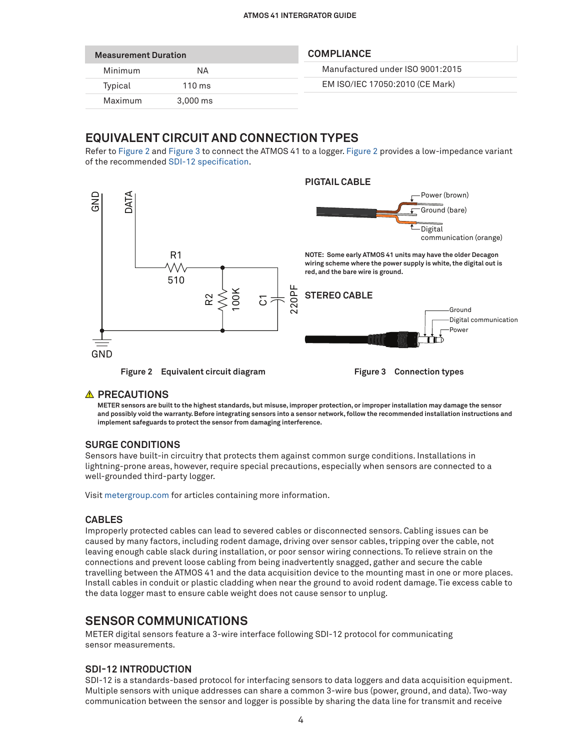| <b>Measurement Duration</b> |                       | <b>COMPLIANCE</b>                |
|-----------------------------|-----------------------|----------------------------------|
| Minimum                     | NΑ                    | Manufactured under ISO 9001:2015 |
| Typical                     | $110 \text{ ms}$      | EM ISO/IEC 17050:2010 (CE Mark)  |
| Maximum                     | $3.000 \,\mathrm{ms}$ |                                  |

## **EQUIVALENT CIRCUIT AND CONNECTION TYPES**

Refer to [Figure 2](#page-3-0) and [Figure 3](#page-3-1) to connect the ATMOS 41 to a logger. [Figure 2](#page-3-0) provides a low-impedance variant of the recommended [SDI-12 specification.](https://sdi-12.org/archives_folder/SDI-12_version1_3%20January%2028,%202016.pdf)



### **A PRECAUTIONS**

<span id="page-3-1"></span><span id="page-3-0"></span>**METER sensors are built to the highest standards, but misuse, improper protection, or improper installation may damage the sensor and possibly void the warranty. Before integrating sensors into a sensor network, follow the recommended installation instructions and implement safeguards to protect the sensor from damaging interference.**

### **SURGE CONDITIONS**

Sensors have built-in circuitry that protects them against common surge conditions. Installations in lightning-prone areas, however, require special precautions, especially when sensors are connected to a well-grounded third-party logger.

Visit [metergroup.com](http://www.metergroup.com) for articles containing more information.

### **CABLES**

Improperly protected cables can lead to severed cables or disconnected sensors. Cabling issues can be caused by many factors, including rodent damage, driving over sensor cables, tripping over the cable, not leaving enough cable slack during installation, or poor sensor wiring connections. To relieve strain on the connections and prevent loose cabling from being inadvertently snagged, gather and secure the cable travelling between the ATMOS 41 and the data acquisition device to the mounting mast in one or more places. Install cables in conduit or plastic cladding when near the ground to avoid rodent damage. Tie excess cable to the data logger mast to ensure cable weight does not cause sensor to unplug.

## **SENSOR COMMUNICATIONS**

METER digital sensors feature a 3-wire interface following SDI-12 protocol for communicating sensor measurements.

## **SDI-12 INTRODUCTION**

SDI-12 is a standards-based protocol for interfacing sensors to data loggers and data acquisition equipment. Multiple sensors with unique addresses can share a common 3-wire bus (power, ground, and data). Two-way communication between the sensor and logger is possible by sharing the data line for transmit and receive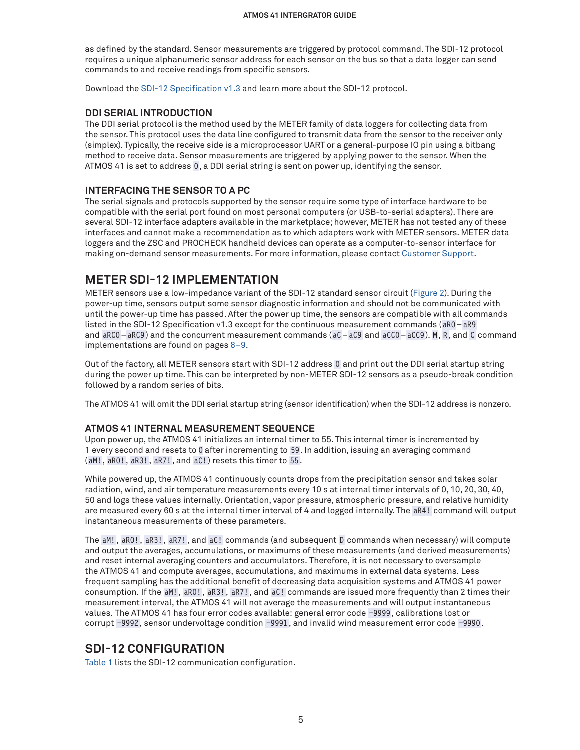as defined by the standard. Sensor measurements are triggered by protocol command. The SDI-12 protocol requires a unique alphanumeric sensor address for each sensor on the bus so that a data logger can send commands to and receive readings from specific sensors.

Download the [SDI-12 Specification v1.3](https://sdi-12.org/archives_folder/SDI-12_version1_3%20January%2028,%202016.pdf) and learn more about the SDI-12 protocol.

#### **DDI SERIAL INTRODUCTION**

The DDI serial protocol is the method used by the METER family of data loggers for collecting data from the sensor. This protocol uses the data line configured to transmit data from the sensor to the receiver only (simplex). Typically, the receive side is a microprocessor UART or a general-purpose IO pin using a bitbang method to receive data. Sensor measurements are triggered by applying power to the sensor. When the ATMOS 41 is set to address 0, a DDI serial string is sent on power up, identifying the sensor.

### **INTERFACING THE SENSOR TO A PC**

The serial signals and protocols supported by the sensor require some type of interface hardware to be compatible with the serial port found on most personal computers (or USB-to-serial adapters). There are several SDI-12 interface adapters available in the marketplace; however, METER has not tested any of these interfaces and cannot make a recommendation as to which adapters work with METER sensors. METER data loggers and the ZSC and PROCHECK handheld devices can operate as a computer-to-sensor interface for making on-demand sensor measurements. For more information, please contact Customer Support.

## <span id="page-4-1"></span>**METER SDI-12 IMPLEMENTATION**

METER sensors use a low-impedance variant of the SDI-12 standard sensor circuit [\(Figure 2\)](#page-3-0). During the power-up time, sensors output some sensor diagnostic information and should not be communicated with until the power-up time has passed. After the power up time, the sensors are compatible with all commands listed in the SDI-12 Specification v1.3 except for the continuous measurement commands (aR0–aR9 and aRC0–aRC9) and the concurrent measurement commands ( aC–aC9 and aCC0–aCC9). M, R, and C command implementations are found on pages [8–](#page-7-0)[9.](#page-8-0)

Out of the factory, all METER sensors start with SDI-12 address 0 and print out the DDI serial startup string during the power up time. This can be interpreted by non-METER SDI-12 sensors as a pseudo-break condition followed by a random series of bits.

The ATMOS 41 will omit the DDI serial startup string (sensor identification) when the SDI-12 address is nonzero.

### <span id="page-4-0"></span>**ATMOS 41 INTERNAL MEASUREMENT SEQUENCE**

Upon power up, the ATMOS 41 initializes an internal timer to 55. This internal timer is incremented by 1 every second and resets to 0 after incrementing to 59. In addition, issuing an averaging command (aM! , aR0!, aR3!, aR7!, and aC!) resets this timer to 55.

While powered up, the ATMOS 41 continuously counts drops from the precipitation sensor and takes solar radiation, wind, and air temperature measurements every 10 s at internal timer intervals of 0, 10, 20, 30, 40, 50 and logs these values internally. Orientation, vapor pressure, atmospheric pressure, and relative humidity are measured every 60 s at the internal timer interval of 4 and logged internally. The aR4! command will output instantaneous measurements of these parameters.

The aM!, aR0! , aR3! , aR7!, and aC! commands (and subsequent D commands when necessary) will compute and output the averages, accumulations, or maximums of these measurements (and derived measurements) and reset internal averaging counters and accumulators. Therefore, it is not necessary to oversample the ATMOS 41 and compute averages, accumulations, and maximums in external data systems. Less frequent sampling has the additional benefit of decreasing data acquisition systems and ATMOS 41 power consumption. If the aM!, aR0!, aR3! , aR7! , and aC! commands are issued more frequently than 2 times their measurement interval, the ATMOS 41 will not average the measurements and will output instantaneous values. The ATMOS 41 has four error codes available: general error code −9999 , calibrations lost or corrupt −9992, sensor undervoltage condition −9991 , and invalid wind measurement error code −9990.

## **SDI-12 CONFIGURATION**

[Table 1](#page-5-0) lists the SDI-12 communication configuration.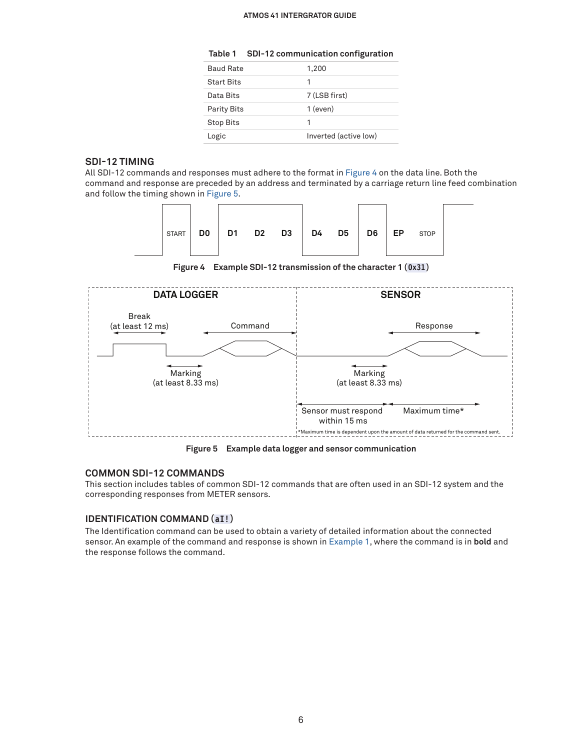#### <span id="page-5-0"></span>**ATMOS 41 INTERGRATOR GUIDE**

| Table 1 |  | SDI-12 communication configuration |  |
|---------|--|------------------------------------|--|
|---------|--|------------------------------------|--|

| <b>Baud Rate</b>   | 1,200                 |
|--------------------|-----------------------|
| <b>Start Bits</b>  | 1                     |
| Data Bits          | 7 (LSB first)         |
| <b>Parity Bits</b> | 1 (even)              |
| <b>Stop Bits</b>   | 1                     |
| Logic              | Inverted (active low) |

#### **SDI-12 TIMING**

All SDI-12 commands and responses must adhere to the format in [Figure 4](#page-5-1) on the data line. Both the command and response are preceded by an address and terminated by a carriage return line feed combination and follow the timing shown in [Figure 5.](#page-5-2)



<span id="page-5-1"></span>**Figure 4 Example SDI-12 transmission of the character 1 (0x31)**



<span id="page-5-2"></span>**Figure 5 Example data logger and sensor communication**

#### **COMMON SDI-12 COMMANDS**

This section includes tables of common SDI-12 commands that are often used in an SDI-12 system and the corresponding responses from METER sensors.

### **IDENTIFICATION COMMAND (aI!)**

The Identification command can be used to obtain a variety of detailed information about the connected sensor. An example of the command and response is shown in [Example 1](#page-6-0), where the command is in **bold** and the response follows the command.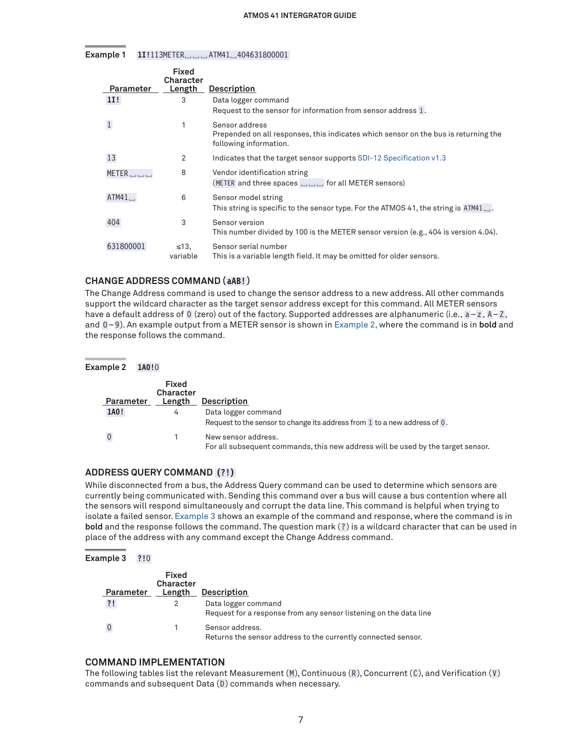**Example 1 1I!**113METER␣␣␣ ATM41␣404631800001

<span id="page-6-0"></span>

| Parameter | <b>Fixed</b><br><b>Character</b><br>Length | <b>Description</b>                                                                                            |
|-----------|--------------------------------------------|---------------------------------------------------------------------------------------------------------------|
|           |                                            |                                                                                                               |
| 11!       | 3                                          | Data logger command<br>Request to the sensor for information from sensor address 1.                           |
|           |                                            |                                                                                                               |
|           | 1                                          | Sensor address                                                                                                |
|           |                                            | Prepended on all responses, this indicates which sensor on the bus is returning the<br>following information. |
| 13        | 2                                          | Indicates that the target sensor supports SDI-12 Specification v1.3                                           |
| METER     | 8                                          | Vendor identification string                                                                                  |
|           |                                            | (METER and three spaces $\Box$ or all METER sensors)                                                          |
| ATM41     | 6                                          | Sensor model string                                                                                           |
|           |                                            | This string is specific to the sensor type. For the ATMOS 41, the string is $ATM41 \_$ .                      |
| 404       | 3                                          | Sensor version                                                                                                |
|           |                                            | This number divided by 100 is the METER sensor version (e.g., 404 is version 4.04).                           |
| 631800001 | $\leq 13$ .                                | Sensor serial number                                                                                          |
|           | variable                                   | This is a variable length field. It may be omitted for older sensors.                                         |

## **CHANGE ADDRESS COMMAND (aAB!)**

The Change Address command is used to change the sensor address to a new address. All other commands support the wildcard character as the target sensor address except for this command. All METER sensors have a default address of 0 (zero) out of the factory. Supported addresses are alphanumeric (i.e., a-z, A-Z, and 0–9 ). An example output from a METER sensor is shown in [Example 2](#page-6-1), where the command is in **bold** and the response follows the command.

<span id="page-6-1"></span>**Example 2 1A0!**0 **Parameter Length Description Fixed Character 1A0!** 4 Data logger command Request to the sensor to change its address from  $1$  to a new address of  $0$ . 0 1 New sensor address. For all subsequent commands, this new address will be used by the target sensor.

### **ADDRESS QUERY COMMAND (?!)**

While disconnected from a bus, the Address Query command can be used to determine which sensors are currently being communicated with. Sending this command over a bus will cause a bus contention where all the sensors will respond simultaneously and corrupt the data line. This command is helpful when trying to isolate a failed sensor. [Example 3](#page-6-2) shows an example of the command and response, where the command is in **bold** and the response follows the command. The question mark (? ) is a wildcard character that can be used in place of the address with any command except the Change Address command.

#### **Example 3 ?!**0

<span id="page-6-2"></span>

| Parameter | Fixed<br><b>Character</b><br>Length | <b>Description</b>                                                                       |
|-----------|-------------------------------------|------------------------------------------------------------------------------------------|
| ?!        |                                     | Data logger command<br>Request for a response from any sensor listening on the data line |
|           |                                     | Sensor address.<br>Returns the sensor address to the currently connected sensor.         |

#### **COMMAND IMPLEMENTATION**

The following tables list the relevant Measurement  $(M)$ , Continuous  $(R)$ , Concurrent  $(C)$ , and Verification  $(V)$ commands and subsequent Data (D) commands when necessary.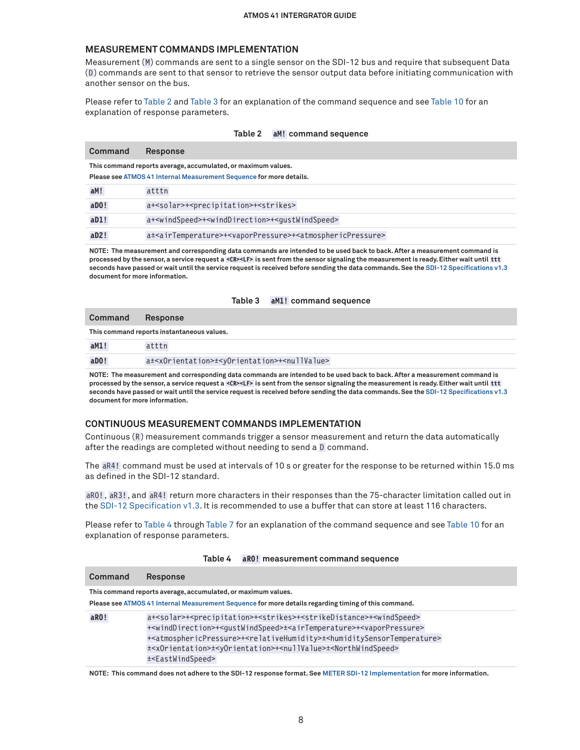### <span id="page-7-0"></span>**MEASUREMENT COMMANDS IMPLEMENTATION**

Measurement (M) commands are sent to a single sensor on the SDI-12 bus and require that subsequent Data (D) commands are sent to that sensor to retrieve the sensor output data before initiating communication with another sensor on the bus.

Please refer to [Table 2](#page-7-1) and [Table 3](#page-7-2) for an explanation of the command sequence and see [Table 10](#page-9-0) for an explanation of response parameters.

#### <span id="page-7-1"></span>**Table 2 aM! command sequence**

| Command | <b>Response</b>                                                                                                  |  |
|---------|------------------------------------------------------------------------------------------------------------------|--|
|         | This command reports average, accumulated, or maximum values.                                                    |  |
|         | Please see ATMOS 41 Internal Measurement Sequence for more details.                                              |  |
| aM!     | atttn                                                                                                            |  |
| $a$ DO! | a+ <solar>+<precipitation>+<strikes></strikes></precipitation></solar>                                           |  |
| aD1!    | a+ <windspeed>+<winddirection>+<gustwindspeed></gustwindspeed></winddirection></windspeed>                       |  |
| aD2!    | a± <airtemperature>+<vaporpressure>+<atmosphericpressure></atmosphericpressure></vaporpressure></airtemperature> |  |

**NOTE: The measurement and corresponding data commands are intended to be used back to back. After a measurement command is processed by the sensor, a service request a <CR><LF> is sent from the sensor signaling the measurement is ready. Either wait until ttt seconds have passed or wait until the service request is received before sending the data commands. See the [SDI-12 Specifications v1.3](https://sdi-12.org/archives_folder/SDI-12_version1_3%20January%2028,%202016.pdf) document for more information.**

<span id="page-7-2"></span>

| Command               | Response                                                                               |
|-----------------------|----------------------------------------------------------------------------------------|
|                       | This command reports instantaneous values.                                             |
| aM1!                  | atttn                                                                                  |
| $a$ <sub>D</sub> $0!$ | a± <xorientation>±<yorientation>+<nullvalue></nullvalue></yorientation></xorientation> |

**NOTE: The measurement and corresponding data commands are intended to be used back to back. After a measurement command is processed by the sensor, a service request a <CR><LF> is sent from the sensor signaling the measurement is ready. Either wait until ttt seconds have passed or wait until the service request is received before sending the data commands. See the [SDI-12 Specifications v1.3](https://sdi-12.org/archives_folder/SDI-12_version1_3%20January%2028,%202016.pdf) document for more information.**

#### **CONTINUOUS MEASUREMENT COMMANDS IMPLEMENTATION**

Continuous (R) measurement commands trigger a sensor measurement and return the data automatically after the readings are completed without needing to send a D command.

The aR4! command must be used at intervals of 10 s or greater for the response to be returned within 15.0 ms as defined in the SDI-12 standard.

aR0! , aR3!, and aR4! return more characters in their responses than the 75-character limitation called out in the [SDI-12 Specification v1.3.](http://www.sdi-12.org/archives.php) It is recommended to use a buffer that can store at least 116 characters.

Please refer to [Table 4](#page-7-3) through [Table 7](#page-8-1) for an explanation of the command sequence and see [Table 10](#page-9-0) for an explanation of response parameters.

|         | and, mododi chiqin oommana ooqachoo                                                                                                         |
|---------|---------------------------------------------------------------------------------------------------------------------------------------------|
| Command | <b>Response</b>                                                                                                                             |
|         | This command reports average, accumulated, or maximum values.                                                                               |
|         | Please see ATMOS 41 Internal Measurement Sequence for more details regarding timing of this command.                                        |
| aRO!    | a+ <solar>+<precipitation>+<strikes>+<strikedistance>+<windspeed></windspeed></strikedistance></strikes></precipitation></solar>            |
|         | + <winddirection>+<qustwindspeed>±<airtemperature>+<vaporpressure></vaporpressure></airtemperature></qustwindspeed></winddirection>         |
|         | + <atmosphericpressure>+<relativehumidity>±<humiditysensortemperature></humiditysensortemperature></relativehumidity></atmosphericpressure> |
|         | + <x0rientation>+<y0rientation>+<nullvalue>+<northwindspeed></northwindspeed></nullvalue></y0rientation></x0rientation>                     |
|         | ± <eastwindspeed></eastwindspeed>                                                                                                           |

<span id="page-7-3"></span>**Table 4 aR0! measurement command sequence**

**NOTE: This command does not adhere to the SDI-12 response format. See [METER SDI-12 Implementation](#page-4-1) for more information.**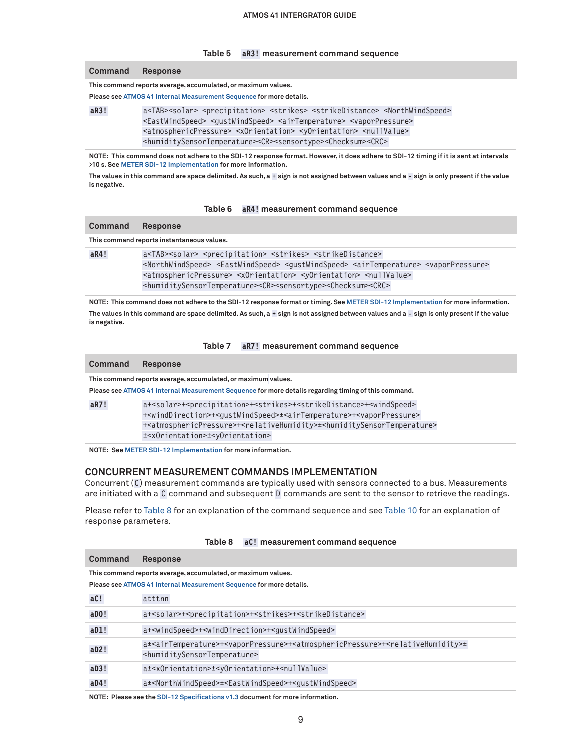#### **Table 5 aR3! measurement command sequence**

| Command                                                                                                                                                      | <b>Response</b>                                                                                                                   |  |  |
|--------------------------------------------------------------------------------------------------------------------------------------------------------------|-----------------------------------------------------------------------------------------------------------------------------------|--|--|
| This command reports average, accumulated, or maximum values.                                                                                                |                                                                                                                                   |  |  |
| Please see ATMOS 41 Internal Measurement Sequence for more details.                                                                                          |                                                                                                                                   |  |  |
| aR3!<br>a <tab><solar> <precipitation> <strikes> <strikedistance> <northwindspeed></northwindspeed></strikedistance></strikes></precipitation></solar></tab> |                                                                                                                                   |  |  |
|                                                                                                                                                              | <eastwindspeed> <gustwindspeed> <airtemperature> <vaporpressure></vaporpressure></airtemperature></gustwindspeed></eastwindspeed> |  |  |
|                                                                                                                                                              | <atmosphericpressure> <xorientation> <yorientation> <nullvalue></nullvalue></yorientation></xorientation></atmosphericpressure>   |  |  |
|                                                                                                                                                              | <humiditysensortemperature><cr><sensortype><checksum><crc></crc></checksum></sensortype></cr></humiditysensortemperature>         |  |  |

**NOTE: This command does not adhere to the SDI-12 response format. However, it does adhere to SDI-12 timing if it is sent at intervals >10 s. See [METER SDI-12 Implementation](#page-4-1) for more information.**

**The values in this command are space delimited. As such, a + sign is not assigned between values and a - sign is only present if the value is negative.**

#### <span id="page-8-0"></span>**Table 6 aR4! measurement command sequence**

| Command | Response                                                                                                                                                            |
|---------|---------------------------------------------------------------------------------------------------------------------------------------------------------------------|
|         | This command reports instantaneous values.                                                                                                                          |
| aR4!    | a <tab><solar> <precipitation> <strikes> <strikedistance></strikedistance></strikes></precipitation></solar></tab>                                                  |
|         | <northwindspeed> <eastwindspeed> <qustwindspeed> <airtemperature> <vaporpressure></vaporpressure></airtemperature></qustwindspeed></eastwindspeed></northwindspeed> |
|         | <atmosphericpressure> <xorientation> <yorientation> <nullvalue></nullvalue></yorientation></xorientation></atmosphericpressure>                                     |
|         | <humiditysensortemperature><cr><sensortype><checksum><crc></crc></checksum></sensortype></cr></humiditysensortemperature>                                           |

**NOTE: This command does not adhere to the SDI-12 response format or timing. See [METER SDI-12 Implementation](#page-4-1) for more information. The values in this command are space delimited. As such, a + sign is not assigned between values and a - sign is only present if the value is negative.**

#### <span id="page-8-2"></span><span id="page-8-1"></span>**Table 7 aR7! measurement command sequence**

| Command | <b>Response</b>                                                                                                                                                                                                                                                                                                                                                                                                                                                                         |
|---------|-----------------------------------------------------------------------------------------------------------------------------------------------------------------------------------------------------------------------------------------------------------------------------------------------------------------------------------------------------------------------------------------------------------------------------------------------------------------------------------------|
|         | This command reports average, accumulated, or maximum values.<br>Please see ATMOS 41 Internal Measurement Sequence for more details regarding timing of this command.                                                                                                                                                                                                                                                                                                                   |
| aR7!    | a+ <solar>+<precipitation>+<strikes>+<strikedistance>+<windspeed><br/>+<winddirection>+<qustwindspeed>±<airtemperature>+<vaporpressure><br/>+<atmosphericpressure>+<relativehumidity>±<humiditysensortemperature><br/>±<x0rientation>±<y0rientation></y0rientation></x0rientation></humiditysensortemperature></relativehumidity></atmosphericpressure></vaporpressure></airtemperature></qustwindspeed></winddirection></windspeed></strikedistance></strikes></precipitation></solar> |

**NOTE: See [METER SDI-12 Implementation](#page-4-1) for more information.**

#### **CONCURRENT MEASUREMENT COMMANDS IMPLEMENTATION**

Concurrent (C) measurement commands are typically used with sensors connected to a bus. Measurements are initiated with a C command and subsequent D commands are sent to the sensor to retrieve the readings.

Please refer to [Table 8](#page-8-2) for an explanation of the command sequence and see [Table 10](#page-9-0) for an explanation of response parameters.

|                                                                                                                                      | aC! measurement command sequence<br>Table 8                                                                                                                                                                         |  |
|--------------------------------------------------------------------------------------------------------------------------------------|---------------------------------------------------------------------------------------------------------------------------------------------------------------------------------------------------------------------|--|
| Command                                                                                                                              | <b>Response</b>                                                                                                                                                                                                     |  |
| This command reports average, accumulated, or maximum values.<br>Please see ATMOS 41 Internal Measurement Sequence for more details. |                                                                                                                                                                                                                     |  |
| aC!                                                                                                                                  | atttnn                                                                                                                                                                                                              |  |
| aD0!                                                                                                                                 | a+ <solar>+<precipitation>+<strikes>+<strikedistance></strikedistance></strikes></precipitation></solar>                                                                                                            |  |
| aD1!                                                                                                                                 | a+ <windspeed>+<winddirection>+<gustwindspeed></gustwindspeed></winddirection></windspeed>                                                                                                                          |  |
| aD2!                                                                                                                                 | a± <airtemperature>+<vaporpressure>+<atmosphericpressure>+<relativehumidity>±<br/><humiditysensortemperature></humiditysensortemperature></relativehumidity></atmosphericpressure></vaporpressure></airtemperature> |  |
| aD3!                                                                                                                                 | a± <x0rientation>±<y0rientation>+<nullvalue></nullvalue></y0rientation></x0rientation>                                                                                                                              |  |
| aD4!                                                                                                                                 | a± <northwindspeed>±<eastwindspeed>+<gustwindspeed></gustwindspeed></eastwindspeed></northwindspeed>                                                                                                                |  |

**NOTE: Please see the [SDI-12 Specifications v1.3](https://sdi-12.org/archives_folder/SDI-12_version1_3%20January%2028,%202016.pdf) document for more information.**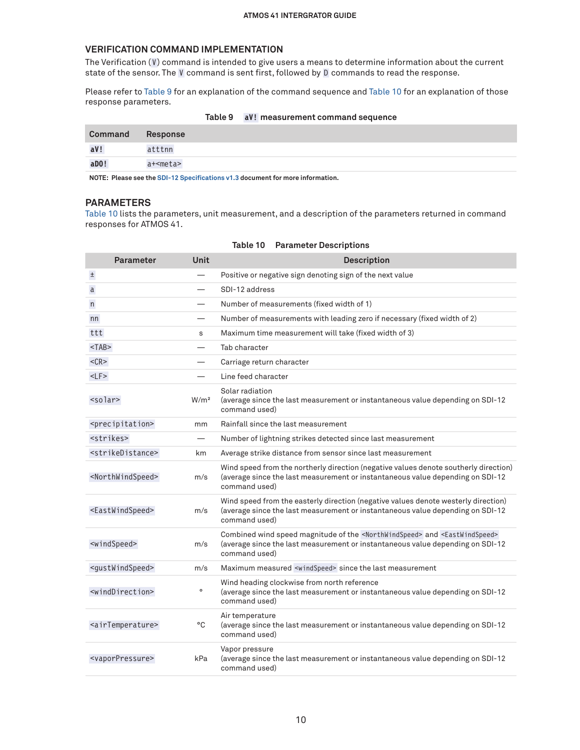### **VERIFICATION COMMAND IMPLEMENTATION**

The Verification  $(V)$  command is intended to give users a means to determine information about the current state of the sensor. The V command is sent first, followed by D commands to read the response.

Please refer to [Table 9](#page-9-1) for an explanation of the command sequence and [Table 10](#page-9-0) for an explanation of those response parameters.

|         |            | Table 5 av: Incasulement command sequence |
|---------|------------|-------------------------------------------|
| Command | Response   |                                           |
| aV!     | atttnn     |                                           |
| $a$ DO! | a+ <meta/> |                                           |
|         |            |                                           |

<span id="page-9-1"></span>**Table 9 aV! measurement command sequence**

**NOTE: Please see the [SDI-12 Specifications v1.3](https://sdi-12.org/archives_folder/SDI-12_version1_3%20January%2028,%202016.pdf) document for more information.**

### **PARAMETERS**

[Table 10](#page-9-0) lists the parameters, unit measurement, and a description of the parameters returned in command responses for ATMOS 41.

| <b>Parameter</b>                  | <b>Unit</b>      | <b>Description</b>                                                                                                                                                                                              |
|-----------------------------------|------------------|-----------------------------------------------------------------------------------------------------------------------------------------------------------------------------------------------------------------|
| $\pm$                             |                  | Positive or negative sign denoting sign of the next value                                                                                                                                                       |
| a                                 |                  | SDI-12 address                                                                                                                                                                                                  |
| n                                 |                  | Number of measurements (fixed width of 1)                                                                                                                                                                       |
| nn                                |                  | Number of measurements with leading zero if necessary (fixed width of 2)                                                                                                                                        |
| ttt                               | S                | Maximum time measurement will take (fixed width of 3)                                                                                                                                                           |
| $<$ TAB $>$                       |                  | Tab character                                                                                                                                                                                                   |
| $<$ CR $>$                        |                  | Carriage return character                                                                                                                                                                                       |
| $<$ LF $>$                        |                  | Line feed character                                                                                                                                                                                             |
| $<$ solar $>$                     | W/m <sup>2</sup> | Solar radiation<br>(average since the last measurement or instantaneous value depending on SDI-12)<br>command used)                                                                                             |
| <precipitation></precipitation>   | mm               | Rainfall since the last measurement                                                                                                                                                                             |
| <strikes></strikes>               |                  | Number of lightning strikes detected since last measurement                                                                                                                                                     |
| <strikedistance></strikedistance> | km               | Average strike distance from sensor since last measurement                                                                                                                                                      |
| <northwindspeed></northwindspeed> | m/s              | Wind speed from the northerly direction (negative values denote southerly direction)<br>(average since the last measurement or instantaneous value depending on SDI-12<br>command used)                         |
| <eastwindspeed></eastwindspeed>   | m/s              | Wind speed from the easterly direction (negative values denote westerly direction)<br>(average since the last measurement or instantaneous value depending on SDI-12<br>command used)                           |
| <windspeed></windspeed>           | m/s              | Combined wind speed magnitude of the <northwindspeed> and <eastwindspeed><br/>(average since the last measurement or instantaneous value depending on SDI-12<br/>command used)</eastwindspeed></northwindspeed> |
| <gustwindspeed></gustwindspeed>   | m/s              | Maximum measured <windspeed> since the last measurement</windspeed>                                                                                                                                             |
| $\le$ windDirection>              | $\circ$          | Wind heading clockwise from north reference<br>(average since the last measurement or instantaneous value depending on SDI-12<br>command used)                                                                  |
| <airtemperature></airtemperature> | °C               | Air temperature<br>(average since the last measurement or instantaneous value depending on SDI-12<br>command used)                                                                                              |
| <vaporpressure></vaporpressure>   | kPa              | Vapor pressure<br>(average since the last measurement or instantaneous value depending on SDI-12<br>command used)                                                                                               |

## <span id="page-9-0"></span>**Table 10 Parameter Descriptions**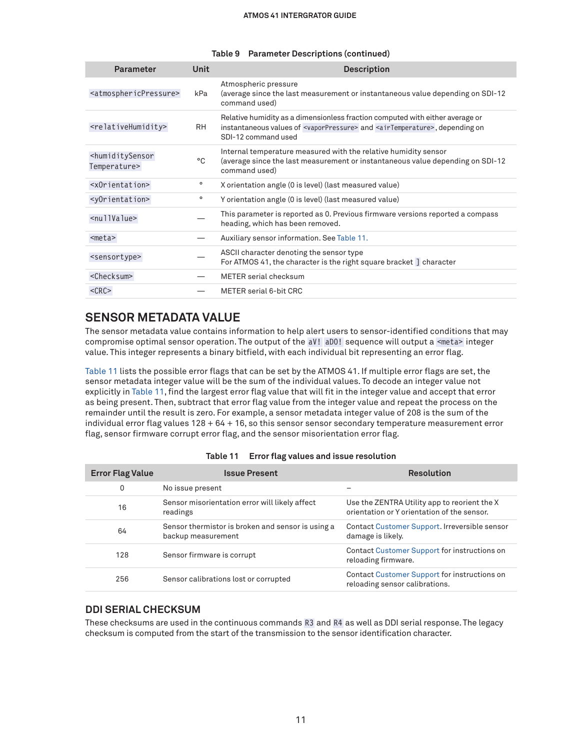#### **ATMOS 41 INTERGRATOR GUIDE**

| <b>Parameter</b>                                       | Unit      | <b>Description</b>                                                                                                                                                                                                   |
|--------------------------------------------------------|-----------|----------------------------------------------------------------------------------------------------------------------------------------------------------------------------------------------------------------------|
| <atmosphericpressure></atmosphericpressure>            | kPa       | Atmospheric pressure<br>(average since the last measurement or instantaneous value depending on SDI-12)<br>command used)                                                                                             |
| <relativehumidity></relativehumidity>                  | <b>RH</b> | Relative humidity as a dimensionless fraction computed with either average or<br>instantaneous values of <vaporpressure> and <airtemperature>, depending on<br/>SDI-12 command used</airtemperature></vaporpressure> |
| <humiditysensor<br>Temperature&gt;</humiditysensor<br> | °C        | Internal temperature measured with the relative humidity sensor<br>(average since the last measurement or instantaneous value depending on SDI-12<br>command used)                                                   |
| $\leq$ xOrientation>                                   | $\circ$   | X orientation angle (0 is level) (last measured value)                                                                                                                                                               |
| <yorientation></yorientation>                          | $\circ$   | Y orientation angle (0 is level) (last measured value)                                                                                                                                                               |
| <nullvalue></nullvalue>                                |           | This parameter is reported as 0. Previous firmware versions reported a compass<br>heading, which has been removed.                                                                                                   |
| $meta>$                                                |           | Auxiliary sensor information. See Table 11.                                                                                                                                                                          |
| <sensortype></sensortype>                              |           | ASCII character denoting the sensor type<br>For ATMOS 41, the character is the right square bracket ] character                                                                                                      |
| <checksum></checksum>                                  |           | <b>METER</b> serial checksum                                                                                                                                                                                         |
| $<$ CRC $>$                                            |           | <b>METER serial 6-bit CRC</b>                                                                                                                                                                                        |
|                                                        |           |                                                                                                                                                                                                                      |

#### **Table 9 Parameter Descriptions (continued)**

## **SENSOR METADATA VALUE**

The sensor metadata value contains information to help alert users to sensor-identified conditions that may compromise optimal sensor operation. The output of the aV! aD0! sequence will output a <meta> integer value. This integer represents a binary bitfield, with each individual bit representing an error flag.

[Table 11](#page-10-0) lists the possible error flags that can be set by the ATMOS 41. If multiple error flags are set, the sensor metadata integer value will be the sum of the individual values. To decode an integer value not explicitly in [Table 11,](#page-10-0) find the largest error flag value that will fit in the integer value and accept that error as being present. Then, subtract that error flag value from the integer value and repeat the process on the remainder until the result is zero. For example, a sensor metadata integer value of 208 is the sum of the individual error flag values 128 + 64 + 16, so this sensor sensor secondary temperature measurement error flag, sensor firmware corrupt error flag, and the sensor misorientation error flag.

| <b>Error Flag Value</b> | <b>Issue Present</b>                                                    | <b>Resolution</b>                                                                           |
|-------------------------|-------------------------------------------------------------------------|---------------------------------------------------------------------------------------------|
| 0                       | No issue present                                                        |                                                                                             |
| 16                      | Sensor misorientation error will likely affect<br>readings              | Use the ZENTRA Utility app to reorient the X<br>orientation or Y orientation of the sensor. |
| 64                      | Sensor thermistor is broken and sensor is using a<br>backup measurement | Contact Customer Support. Irreversible sensor<br>damage is likely.                          |
| 128                     | Sensor firmware is corrupt                                              | Contact Customer Support for instructions on<br>reloading firmware.                         |
| 256                     | Sensor calibrations lost or corrupted                                   | Contact Customer Support for instructions on<br>reloading sensor calibrations.              |

<span id="page-10-0"></span>

| Table 11 Error flag values and issue resolution |  |
|-------------------------------------------------|--|
|-------------------------------------------------|--|

## **DDI SERIAL CHECKSUM**

These checksums are used in the continuous commands R3 and R4 as well as DDI serial response. The legacy checksum is computed from the start of the transmission to the sensor identification character.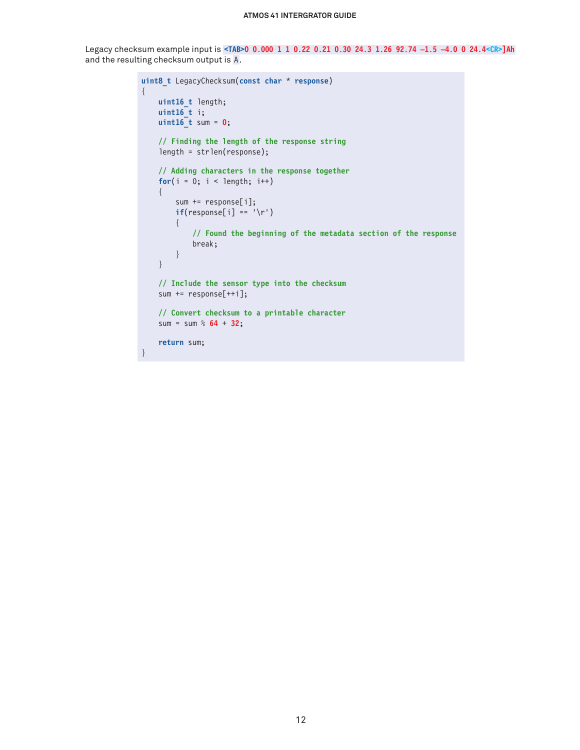#### **ATMOS 41 INTERGRATOR GUIDE**

Legacy checksum example input is **<TAB>0 0.000 1 1 0.22 0.21 0.30 24.3 1.26 92.74 –1.5 –4.0 0 24.4<CR>]Ah** and the resulting checksum output is A.

```
uint8_t LegacyChecksum(const char * response)
{ 
    uint16_t length;
    uint16_t i;
    uint16_t sum = 0;
     // Finding the length of the response string
     length = strlen(response);
     // Adding characters in the response together
    for(i = 0; i < length; i++) {
         sum += response[i];
        if(response[i] == '\r')
         {
             // Found the beginning of the metadata section of the response
             break;
         }
     }
     // Include the sensor type into the checksum
     sum += response[++i];
     // Convert checksum to a printable character
     sum = sum % 64 + 32;
     return sum;
}
```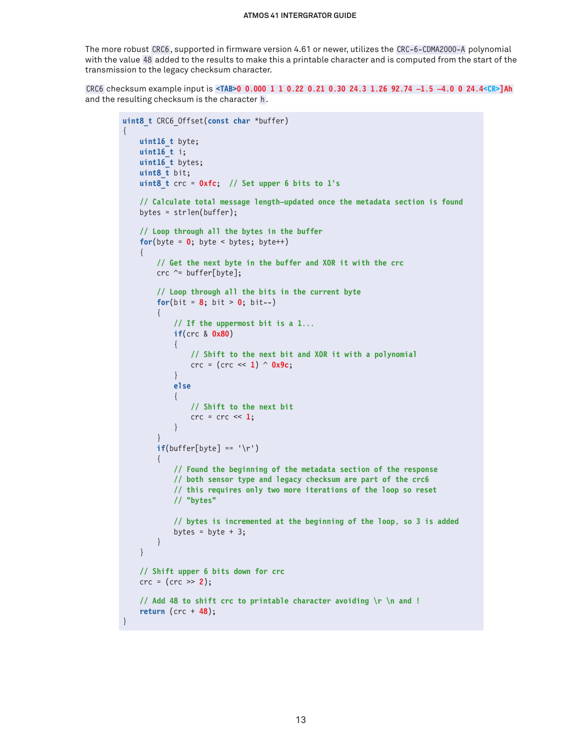The more robust CRC6, supported in firmware version 4.61 or newer, utilizes the CRC-6-CDMA2000-A polynomial with the value 48 added to the results to make this a printable character and is computed from the start of the transmission to the legacy checksum character.

CRC6 checksum example input is **<TAB>0 0.000 1 1 0.22 0.21 0.30 24.3 1.26 92.74 –1.5 –4.0 0 24.4<CR>]Ah** and the resulting checksum is the character h .

{

}

```
uint8_t CRC6_Offset(const char *buffer)
     uint16_t byte;
     uint16_t i;
     uint16_t bytes;
      uint8_t bit;
      uint8_t crc = 0xfc; // Set upper 6 bits to 1's
      // Calculate total message length—updated once the metadata section is found
      bytes = strlen(buffer);
      // Loop through all the bytes in the buffer
     for(byte = \mathbf{0}; byte < bytes; byte++)
\left\{\begin{array}{ccc} & & \\ & & \end{array}\right\} // Get the next byte in the buffer and XOR it with the crc
         crc \text{``= buffer[byte]}; // Loop through all the bits in the current byte
         for(bit = 8; bit > 0; bit--)
           {
                // If the uppermost bit is a 1...
               if(crc & 0x80)
{ } } } } } } { } } } } { } } } } { } } } } { } } } } { } } } } { } } } } { } } } } { } } } } { } } } } { } } } } { } } } } { } } } } { } } } } { } } } } { } } } } { } } } } { } } } } { } } } } { } } } } { } } } } { } } } 
                    // Shift to the next bit and XOR it with a polynomial
                    crc = (crc << 1) ^ 0x9c;
 }
               else
\{ // Shift to the next bit
                   \text{crc} = \text{crc} \ll 1; }
 }
         if(buffer[byte] == '\r') {
               // Found the beginning of the metadata section of the response
               // both sensor type and legacy checksum are part of the crc6
               // this requires only two more iterations of the loop so reset
               // "bytes"
               // bytes is incremented at the beginning of the loop, so 3 is added
              bytes = byte + 3;
          }
      }
     // Shift upper 6 bits down for crc
     crc = (crc >> 2);
     // Add 48 to shift crc to printable character avoiding \r \n and !
     return (crc + 48);
```